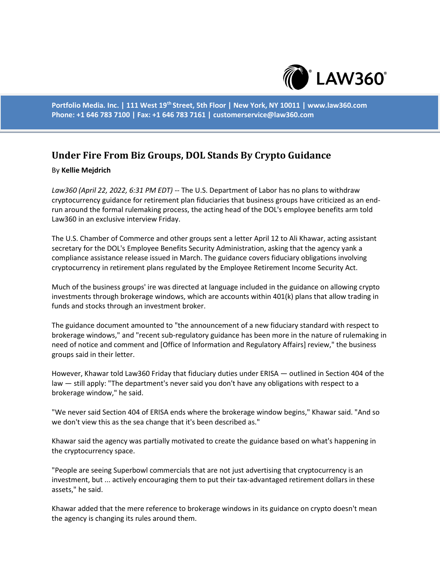

**Portfolio Media. Inc. | 111 West 19th Street, 5th Floor | New York, NY 10011 | www.law360.com Phone: +1 646 783 7100 | Fax: +1 646 783 7161 | customerservice@law360.com**

## **Under Fire From Biz Groups, DOL Stands By Crypto Guidance**

## By **Kellie Mejdrich**

*Law360 (April 22, 2022, 6:31 PM EDT)* -- The U.S. Department of Labor has no plans to withdraw cryptocurrency guidance for retirement plan fiduciaries that business groups have criticized as an endrun around the formal rulemaking process, the acting head of the DOL's employee benefits arm told Law360 in an exclusive interview Friday.

The U.S. Chamber of Commerce and other groups sent a letter April 12 to Ali Khawar, acting assistant secretary for the DOL's Employee Benefits Security Administration, asking that the agency yank a compliance assistance release issued in March. The guidance covers fiduciary obligations involving cryptocurrency in retirement plans regulated by the Employee Retirement Income Security Act.

Much of the business groups' ire was directed at language included in the guidance on allowing crypto investments through brokerage windows, which are accounts within 401(k) plans that allow trading in funds and stocks through an investment broker.

The guidance document amounted to "the announcement of a new fiduciary standard with respect to brokerage windows," and "recent sub-regulatory guidance has been more in the nature of rulemaking in need of notice and comment and [Office of Information and Regulatory Affairs] review," the business groups said in their letter.

However, Khawar told Law360 Friday that fiduciary duties under ERISA — outlined in Section 404 of the law — still apply: "The department's never said you don't have any obligations with respect to a brokerage window," he said.

"We never said Section 404 of ERISA ends where the brokerage window begins," Khawar said. "And so we don't view this as the sea change that it's been described as."

Khawar said the agency was partially motivated to create the guidance based on what's happening in the cryptocurrency space.

"People are seeing Superbowl commercials that are not just advertising that cryptocurrency is an investment, but ... actively encouraging them to put their tax-advantaged retirement dollars in these assets," he said.

Khawar added that the mere reference to brokerage windows in its guidance on crypto doesn't mean the agency is changing its rules around them.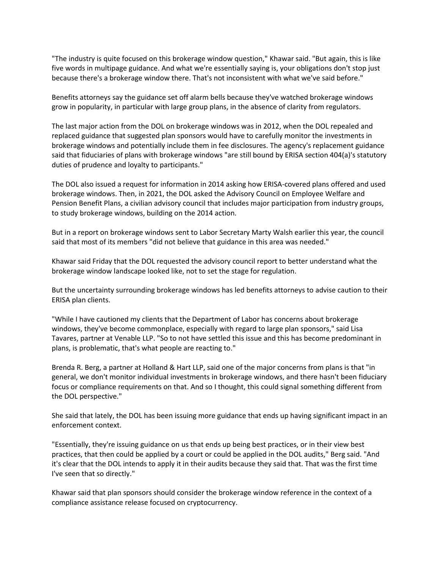"The industry is quite focused on this brokerage window question," Khawar said. "But again, this is like five words in multipage guidance. And what we're essentially saying is, your obligations don't stop just because there's a brokerage window there. That's not inconsistent with what we've said before."

Benefits attorneys say the guidance set off alarm bells because they've watched brokerage windows grow in popularity, in particular with large group plans, in the absence of clarity from regulators.

The last major action from the DOL on brokerage windows was in 2012, when the DOL repealed and replaced guidance that suggested plan sponsors would have to carefully monitor the investments in brokerage windows and potentially include them in fee disclosures. The agency's replacement guidance said that fiduciaries of plans with brokerage windows "are still bound by ERISA section 404(a)'s statutory duties of prudence and loyalty to participants."

The DOL also issued a request for information in 2014 asking how ERISA-covered plans offered and used brokerage windows. Then, in 2021, the DOL asked the Advisory Council on Employee Welfare and Pension Benefit Plans, a civilian advisory council that includes major participation from industry groups, to study brokerage windows, building on the 2014 action.

But in a report on brokerage windows sent to Labor Secretary Marty Walsh earlier this year, the council said that most of its members "did not believe that guidance in this area was needed."

Khawar said Friday that the DOL requested the advisory council report to better understand what the brokerage window landscape looked like, not to set the stage for regulation.

But the uncertainty surrounding brokerage windows has led benefits attorneys to advise caution to their ERISA plan clients.

"While I have cautioned my clients that the Department of Labor has concerns about brokerage windows, they've become commonplace, especially with regard to large plan sponsors," said Lisa Tavares, partner at Venable LLP. "So to not have settled this issue and this has become predominant in plans, is problematic, that's what people are reacting to."

Brenda R. Berg, a partner at Holland & Hart LLP, said one of the major concerns from plans is that "in general, we don't monitor individual investments in brokerage windows, and there hasn't been fiduciary focus or compliance requirements on that. And so I thought, this could signal something different from the DOL perspective."

She said that lately, the DOL has been issuing more guidance that ends up having significant impact in an enforcement context.

"Essentially, they're issuing guidance on us that ends up being best practices, or in their view best practices, that then could be applied by a court or could be applied in the DOL audits," Berg said. "And it's clear that the DOL intends to apply it in their audits because they said that. That was the first time I've seen that so directly."

Khawar said that plan sponsors should consider the brokerage window reference in the context of a compliance assistance release focused on cryptocurrency.